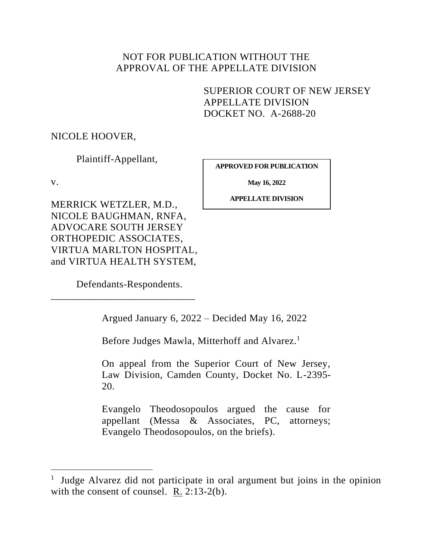# NOT FOR PUBLICATION WITHOUT THE APPROVAL OF THE APPELLATE DIVISION

SUPERIOR COURT OF NEW JERSEY APPELLATE DIVISION DOCKET NO. A-2688-20

# NICOLE HOOVER,

Plaintiff-Appellant,

MERRICK WETZLER, M.D.,

v.

**APPROVED FOR PUBLICATION**

**May 16, 2022**

**APPELLATE DIVISION**

NICOLE BAUGHMAN, RNFA, ADVOCARE SOUTH JERSEY ORTHOPEDIC ASSOCIATES, VIRTUA MARLTON HOSPITAL, and VIRTUA HEALTH SYSTEM,

Defendants-Respondents.

\_\_\_\_\_\_\_\_\_\_\_\_\_\_\_\_\_\_\_\_\_\_\_\_\_\_\_\_

Argued January 6, 2022 – Decided May 16, 2022

Before Judges Mawla, Mitterhoff and Alvarez.<sup>1</sup>

On appeal from the Superior Court of New Jersey, Law Division, Camden County, Docket No. L-2395- 20.

Evangelo Theodosopoulos argued the cause for appellant (Messa & Associates, PC, attorneys; Evangelo Theodosopoulos, on the briefs).

<sup>&</sup>lt;sup>1</sup> Judge Alvarez did not participate in oral argument but joins in the opinion with the consent of counsel. R. 2:13-2(b).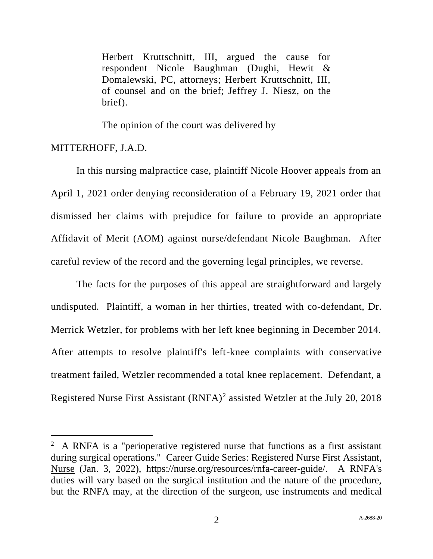Herbert Kruttschnitt, III, argued the cause for respondent Nicole Baughman (Dughi, Hewit & Domalewski, PC, attorneys; Herbert Kruttschnitt, III, of counsel and on the brief; Jeffrey J. Niesz, on the brief).

The opinion of the court was delivered by

# MITTERHOFF, J.A.D.

In this nursing malpractice case, plaintiff Nicole Hoover appeals from an April 1, 2021 order denying reconsideration of a February 19, 2021 order that dismissed her claims with prejudice for failure to provide an appropriate Affidavit of Merit (AOM) against nurse/defendant Nicole Baughman. After careful review of the record and the governing legal principles, we reverse.

The facts for the purposes of this appeal are straightforward and largely undisputed. Plaintiff, a woman in her thirties, treated with co-defendant, Dr. Merrick Wetzler, for problems with her left knee beginning in December 2014. After attempts to resolve plaintiff's left-knee complaints with conservative treatment failed, Wetzler recommended a total knee replacement. Defendant, a Registered Nurse First Assistant (RNFA)<sup>2</sup> assisted Wetzler at the July 20, 2018

 $2$  A RNFA is a "perioperative registered nurse that functions as a first assistant during surgical operations." Career Guide Series: Registered Nurse First Assistant, Nurse (Jan. 3, 2022), https://nurse.org/resources/rnfa-career-guide/. A RNFA's duties will vary based on the surgical institution and the nature of the procedure, but the RNFA may, at the direction of the surgeon, use instruments and medical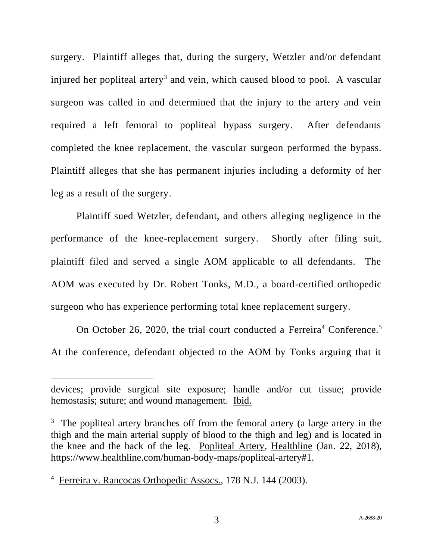surgery. Plaintiff alleges that, during the surgery, Wetzler and/or defendant injured her popliteal artery<sup>3</sup> and vein, which caused blood to pool. A vascular surgeon was called in and determined that the injury to the artery and vein required a left femoral to popliteal bypass surgery. After defendants completed the knee replacement, the vascular surgeon performed the bypass. Plaintiff alleges that she has permanent injuries including a deformity of her leg as a result of the surgery.

Plaintiff sued Wetzler, defendant, and others alleging negligence in the performance of the knee-replacement surgery. Shortly after filing suit, plaintiff filed and served a single AOM applicable to all defendants. The AOM was executed by Dr. Robert Tonks, M.D., a board-certified orthopedic surgeon who has experience performing total knee replacement surgery.

On October 26, 2020, the trial court conducted a Ferreira<sup>4</sup> Conference.<sup>5</sup> At the conference, defendant objected to the AOM by Tonks arguing that it

devices; provide surgical site exposure; handle and/or cut tissue; provide hemostasis; suture; and wound management. Ibid.

<sup>&</sup>lt;sup>3</sup> The popliteal artery branches off from the femoral artery (a large artery in the thigh and the main arterial supply of blood to the thigh and leg) and is located in the knee and the back of the leg. Popliteal Artery, Healthline (Jan. 22, 2018), https://www.healthline.com/human-body-maps/popliteal-artery#1.

<sup>&</sup>lt;sup>4</sup> Ferreira v. Rancocas Orthopedic Assocs., 178 N.J. 144 (2003).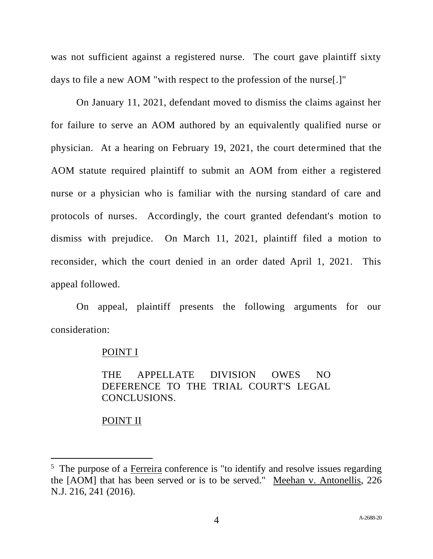was not sufficient against a registered nurse. The court gave plaintiff sixty days to file a new AOM "with respect to the profession of the nurse[.]"

On January 11, 2021, defendant moved to dismiss the claims against her for failure to serve an AOM authored by an equivalently qualified nurse or physician. At a hearing on February 19, 2021, the court determined that the AOM statute required plaintiff to submit an AOM from either a registered nurse or a physician who is familiar with the nursing standard of care and protocols of nurses. Accordingly, the court granted defendant's motion to dismiss with prejudice. On March 11, 2021, plaintiff filed a motion to reconsider, which the court denied in an order dated April 1, 2021. This appeal followed.

On appeal, plaintiff presents the following arguments for our consideration:

#### POINT I

THE APPELLATE DIVISION OWES NO DEFERENCE TO THE TRIAL COURT'S LEGAL CONCLUSIONS.

### POINT II

<sup>&</sup>lt;sup>5</sup> The purpose of a Ferreira conference is "to identify and resolve issues regarding the [AOM] that has been served or is to be served." Meehan v. Antonellis, 226 N.J. 216, 241 (2016).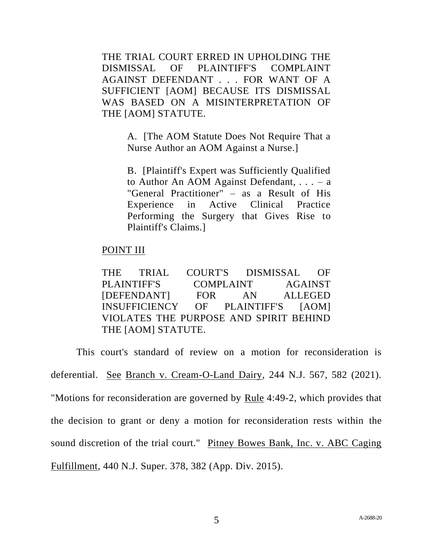THE TRIAL COURT ERRED IN UPHOLDING THE DISMISSAL OF PLAINTIFF'S COMPLAINT AGAINST DEFENDANT . . . FOR WANT OF A SUFFICIENT [AOM] BECAUSE ITS DISMISSAL WAS BASED ON A MISINTERPRETATION OF THE [AOM] STATUTE.

> A. [The AOM Statute Does Not Require That a Nurse Author an AOM Against a Nurse.]

> B. [Plaintiff's Expert was Sufficiently Qualified to Author An AOM Against Defendant,  $\ldots - a$ "General Practitioner" – as a Result of His Experience in Active Clinical Practice Performing the Surgery that Gives Rise to Plaintiff's Claims.]

### POINT III

THE TRIAL COURT'S DISMISSAL OF PLAINTIFF'S COMPLAINT AGAINST [DEFENDANT] FOR AN ALLEGED INSUFFICIENCY OF PLAINTIFF'S [AOM] VIOLATES THE PURPOSE AND SPIRIT BEHIND THE [AOM] STATUTE.

This court's standard of review on a motion for reconsideration is deferential. See Branch v. Cream-O-Land Dairy, 244 N.J. 567, 582 (2021). "Motions for reconsideration are governed by <u>Rule</u> 4:49-2, which provides that the decision to grant or deny a motion for reconsideration rests within the sound discretion of the trial court." Pitney Bowes Bank, Inc. v. ABC Caging Fulfillment, 440 N.J. Super. 378, 382 (App. Div. 2015).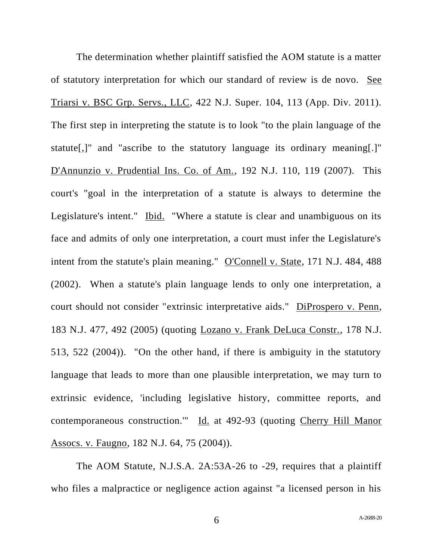The determination whether plaintiff satisfied the AOM statute is a matter of statutory interpretation for which our standard of review is de novo. See Triarsi v. BSC Grp. Servs., LLC, 422 N.J. Super. 104, 113 (App. Div. 2011). The first step in interpreting the statute is to look "to the plain language of the statute[,]" and "ascribe to the statutory language its ordinary meaning[.]" D'Annunzio v. Prudential Ins. Co. of Am., 192 N.J. 110, 119 (2007). This court's "goal in the interpretation of a statute is always to determine the Legislature's intent." Ibid. "Where a statute is clear and unambiguous on its face and admits of only one interpretation, a court must infer the Legislature's intent from the statute's plain meaning." O'Connell v. State, 171 N.J. 484, 488 (2002). When a statute's plain language lends to only one interpretation, a court should not consider "extrinsic interpretative aids." DiProspero v. Penn, 183 N.J. 477, 492 (2005) (quoting Lozano v. Frank DeLuca Constr., 178 N.J. 513, 522 (2004)). "On the other hand, if there is ambiguity in the statutory language that leads to more than one plausible interpretation, we may turn to extrinsic evidence, 'including legislative history, committee reports, and contemporaneous construction.'" Id. at 492-93 (quoting Cherry Hill Manor Assocs. v. Faugno, 182 N.J. 64, 75 (2004)).

The AOM Statute, N.J.S.A. 2A:53A-26 to -29, requires that a plaintiff who files a malpractice or negligence action against "a licensed person in his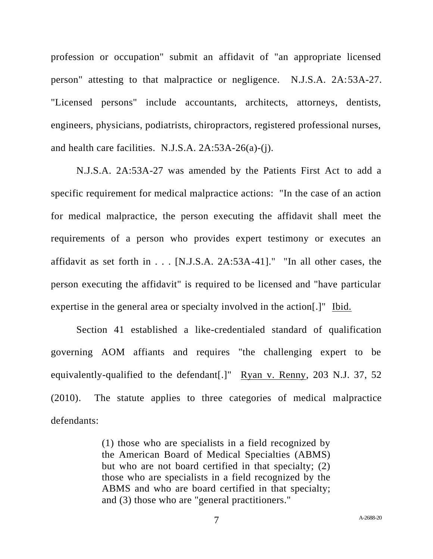profession or occupation" submit an affidavit of "an appropriate licensed person" attesting to that malpractice or negligence. N.J.S.A. 2A:53A-27. "Licensed persons" include accountants, architects, attorneys, dentists, engineers, physicians, podiatrists, chiropractors, registered professional nurses, and health care facilities. N.J.S.A. 2A:53A-26(a)-(j).

N.J.S.A. 2A:53A-27 was amended by the Patients First Act to add a specific requirement for medical malpractice actions: "In the case of an action for medical malpractice, the person executing the affidavit shall meet the requirements of a person who provides expert testimony or executes an affidavit as set forth in . . . [N.J.S.A. 2A:53A-41]." "In all other cases, the person executing the affidavit" is required to be licensed and "have particular expertise in the general area or specialty involved in the action[.]" Ibid.

Section 41 established a like-credentialed standard of qualification governing AOM affiants and requires "the challenging expert to be equivalently-qualified to the defendant[.]" Ryan v. Renny, 203 N.J. 37, 52 (2010). The statute applies to three categories of medical malpractice defendants:

> (1) those who are specialists in a field recognized by the American Board of Medical Specialties (ABMS) but who are not board certified in that specialty; (2) those who are specialists in a field recognized by the ABMS and who are board certified in that specialty; and (3) those who are "general practitioners."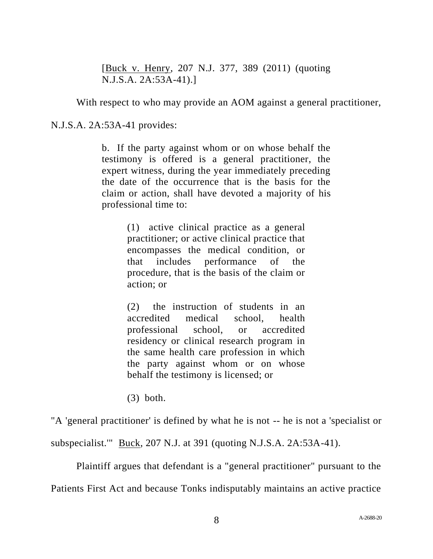[Buck v. Henry, 207 N.J. 377, 389 (2011) (quoting N.J.S.A. 2A:53A-41).]

With respect to who may provide an AOM against a general practitioner,

N.J.S.A. 2A:53A-41 provides:

b. If the party against whom or on whose behalf the testimony is offered is a general practitioner, the expert witness, during the year immediately preceding the date of the occurrence that is the basis for the claim or action, shall have devoted a majority of his professional time to:

> (1) active clinical practice as a general practitioner; or active clinical practice that encompasses the medical condition, or that includes performance of the procedure, that is the basis of the claim or action; or

> (2) the instruction of students in an accredited medical school, health professional school, or accredited residency or clinical research program in the same health care profession in which the party against whom or on whose behalf the testimony is licensed; or

(3) both.

"A 'general practitioner' is defined by what he is not -- he is not a 'specialist or

subspecialist.'" Buck, 207 N.J. at 391 (quoting N.J.S.A. 2A:53A-41).

Plaintiff argues that defendant is a "general practitioner" pursuant to the

Patients First Act and because Tonks indisputably maintains an active practice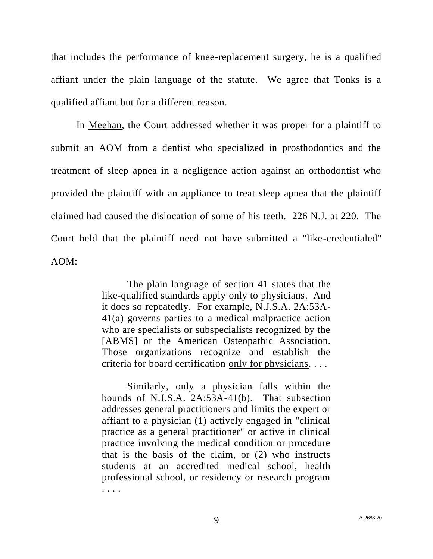that includes the performance of knee-replacement surgery, he is a qualified affiant under the plain language of the statute. We agree that Tonks is a qualified affiant but for a different reason.

In Meehan, the Court addressed whether it was proper for a plaintiff to submit an AOM from a dentist who specialized in prosthodontics and the treatment of sleep apnea in a negligence action against an orthodontist who provided the plaintiff with an appliance to treat sleep apnea that the plaintiff claimed had caused the dislocation of some of his teeth. 226 N.J. at 220. The Court held that the plaintiff need not have submitted a "like-credentialed" AOM:

> The plain language of section 41 states that the like-qualified standards apply only to physicians. And it does so repeatedly. For example, N.J.S.A. 2A:53A-41(a) governs parties to a medical malpractice action who are specialists or subspecialists recognized by the [ABMS] or the American Osteopathic Association. Those organizations recognize and establish the criteria for board certification only for physicians. . . .

> Similarly, only a physician falls within the bounds of N.J.S.A. 2A:53A-41(b). That subsection addresses general practitioners and limits the expert or affiant to a physician (1) actively engaged in "clinical practice as a general practitioner" or active in clinical practice involving the medical condition or procedure that is the basis of the claim, or (2) who instructs students at an accredited medical school, health professional school, or residency or research program . . . .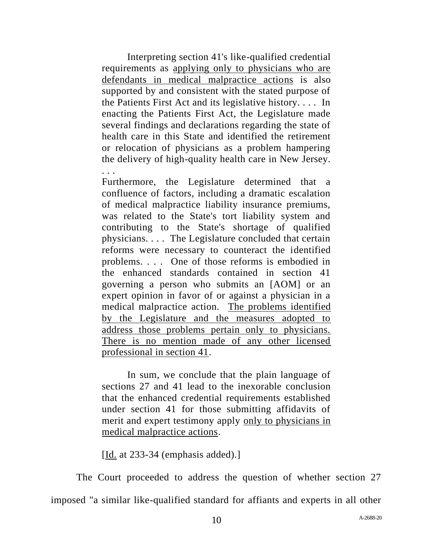Interpreting section 41's like-qualified credential requirements as applying only to physicians who are defendants in medical malpractice actions is also supported by and consistent with the stated purpose of the Patients First Act and its legislative history. . . . In enacting the Patients First Act, the Legislature made several findings and declarations regarding the state of health care in this State and identified the retirement or relocation of physicians as a problem hampering the delivery of high-quality health care in New Jersey. . . .

Furthermore, the Legislature determined that a confluence of factors, including a dramatic escalation of medical malpractice liability insurance premiums, was related to the State's tort liability system and contributing to the State's shortage of qualified physicians. . . . The Legislature concluded that certain reforms were necessary to counteract the identified problems. . . . One of those reforms is embodied in the enhanced standards contained in section 41 governing a person who submits an [AOM] or an expert opinion in favor of or against a physician in a medical malpractice action. The problems identified by the Legislature and the measures adopted to address those problems pertain only to physicians. There is no mention made of any other licensed professional in section 41.

In sum, we conclude that the plain language of sections 27 and 41 lead to the inexorable conclusion that the enhanced credential requirements established under section 41 for those submitting affidavits of merit and expert testimony apply only to physicians in medical malpractice actions.

[Id. at 233-34 (emphasis added).]

The Court proceeded to address the question of whether section 27 imposed "a similar like-qualified standard for affiants and experts in all other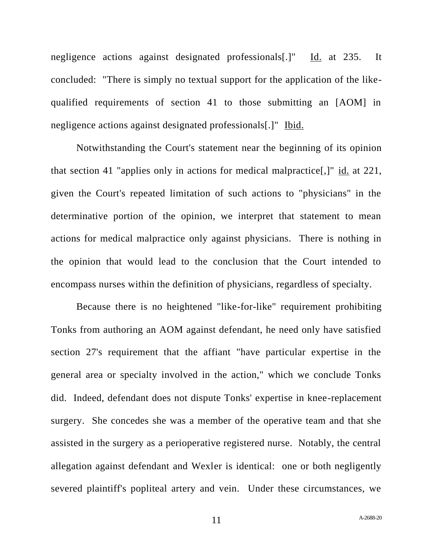negligence actions against designated professionals[.]" Id. at 235. It concluded: "There is simply no textual support for the application of the likequalified requirements of section 41 to those submitting an [AOM] in negligence actions against designated professionals[.]" Ibid.

Notwithstanding the Court's statement near the beginning of its opinion that section 41 "applies only in actions for medical malpractice[,]" id. at 221, given the Court's repeated limitation of such actions to "physicians" in the determinative portion of the opinion, we interpret that statement to mean actions for medical malpractice only against physicians. There is nothing in the opinion that would lead to the conclusion that the Court intended to encompass nurses within the definition of physicians, regardless of specialty.

Because there is no heightened "like-for-like" requirement prohibiting Tonks from authoring an AOM against defendant, he need only have satisfied section 27's requirement that the affiant "have particular expertise in the general area or specialty involved in the action," which we conclude Tonks did. Indeed, defendant does not dispute Tonks' expertise in knee-replacement surgery. She concedes she was a member of the operative team and that she assisted in the surgery as a perioperative registered nurse. Notably, the central allegation against defendant and Wexler is identical: one or both negligently severed plaintiff's popliteal artery and vein. Under these circumstances, we